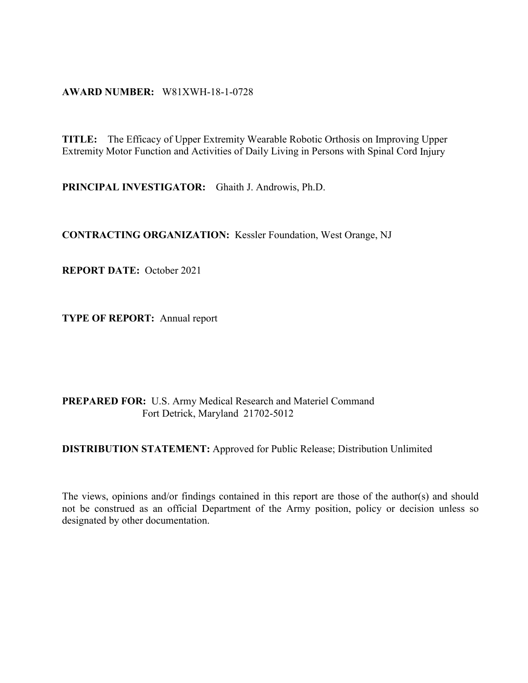#### **AWARD NUMBER:** W81XWH-18-1-0728

**TITLE:** The Efficacy of Upper Extremity Wearable Robotic Orthosis on Improving Upper Extremity Motor Function and Activities of Daily Living in Persons with Spinal Cord Injury

**PRINCIPAL INVESTIGATOR:** Ghaith J. Androwis, Ph.D.

**CONTRACTING ORGANIZATION:** Kessler Foundation, West Orange, NJ

**REPORT DATE:** October 2021

**TYPE OF REPORT:** Annual report

#### **PREPARED FOR:** U.S. Army Medical Research and Materiel Command Fort Detrick, Maryland 21702-5012

**DISTRIBUTION STATEMENT:** [Approved for Public Release; Distribution Unlimited](https://mrmc.amedd.army.mil/index.cfm?pageid=researcher_resources.technical_reporting)

The views, opinions and/or findings contained in this report are those of the author(s) and should not be construed as an official Department of the Army position, policy or decision unless so designated by other documentation.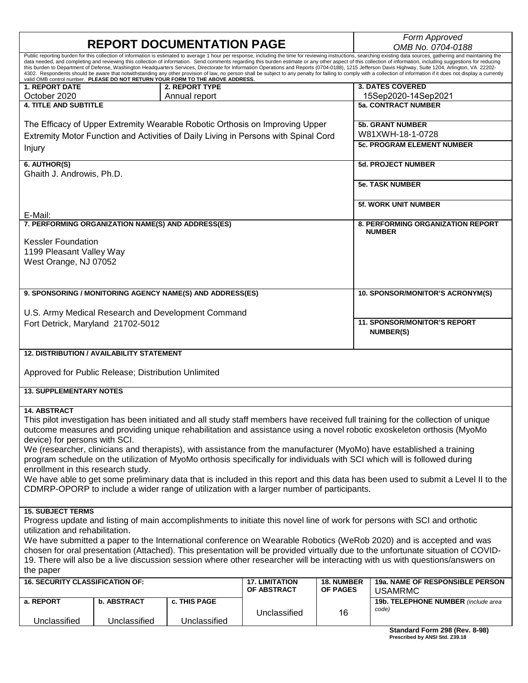|                                                                                                                                                                                                                                                                                                                                                                                                                                                                                                                                                                                                                                                                                                                                                                                                                                                                               |                                                     | <b>REPORT DOCUMENTATION PAGE</b>                                                                 |              |    | Form Approved<br>OMB No. 0704-0188                                                                                               |
|-------------------------------------------------------------------------------------------------------------------------------------------------------------------------------------------------------------------------------------------------------------------------------------------------------------------------------------------------------------------------------------------------------------------------------------------------------------------------------------------------------------------------------------------------------------------------------------------------------------------------------------------------------------------------------------------------------------------------------------------------------------------------------------------------------------------------------------------------------------------------------|-----------------------------------------------------|--------------------------------------------------------------------------------------------------|--------------|----|----------------------------------------------------------------------------------------------------------------------------------|
| Public reporting burden for this collection of information is estimated to average 1 hour per response, including the time for reviewing instructions, searching existing data sources, gathering and maintaining the<br>data needed, and completing and reviewing this collection of information. Send comments regarding this burden estimate or any other aspect of this collection of information, including suggestions for reducing<br>this burden to Department of Defense, Washington Headquarters Services, Directorate for Information Operations and Reports (0704-0188), 1215 Jefferson Davis Highway, Suite 1204, Arlington, VA 22202-<br>4302. Respondents should be aware that notwithstanding any other provision of law, no person shall be subject to any penalty for failing to comply with a collection of information if it does not display a currently |                                                     |                                                                                                  |              |    |                                                                                                                                  |
| <b>1. REPORT DATE</b>                                                                                                                                                                                                                                                                                                                                                                                                                                                                                                                                                                                                                                                                                                                                                                                                                                                         |                                                     | valid OMB control number. PLEASE DO NOT RETURN YOUR FORM TO THE ABOVE ADDRESS.<br>2. REPORT TYPE |              |    | <b>3. DATES COVERED</b>                                                                                                          |
| October 2020                                                                                                                                                                                                                                                                                                                                                                                                                                                                                                                                                                                                                                                                                                                                                                                                                                                                  |                                                     | Annual report                                                                                    |              |    | 15Sep2020-14Sep2021                                                                                                              |
| <b>4. TITLE AND SUBTITLE</b>                                                                                                                                                                                                                                                                                                                                                                                                                                                                                                                                                                                                                                                                                                                                                                                                                                                  |                                                     |                                                                                                  |              |    | <b>5a. CONTRACT NUMBER</b>                                                                                                       |
|                                                                                                                                                                                                                                                                                                                                                                                                                                                                                                                                                                                                                                                                                                                                                                                                                                                                               |                                                     |                                                                                                  |              |    |                                                                                                                                  |
|                                                                                                                                                                                                                                                                                                                                                                                                                                                                                                                                                                                                                                                                                                                                                                                                                                                                               |                                                     |                                                                                                  |              |    | <b>5b. GRANT NUMBER</b>                                                                                                          |
| The Efficacy of Upper Extremity Wearable Robotic Orthosis on Improving Upper<br>Extremity Motor Function and Activities of Daily Living in Persons with Spinal Cord                                                                                                                                                                                                                                                                                                                                                                                                                                                                                                                                                                                                                                                                                                           |                                                     |                                                                                                  |              |    | W81XWH-18-1-0728                                                                                                                 |
|                                                                                                                                                                                                                                                                                                                                                                                                                                                                                                                                                                                                                                                                                                                                                                                                                                                                               |                                                     |                                                                                                  |              |    | <b>5c. PROGRAM ELEMENT NUMBER</b>                                                                                                |
| Injury                                                                                                                                                                                                                                                                                                                                                                                                                                                                                                                                                                                                                                                                                                                                                                                                                                                                        |                                                     |                                                                                                  |              |    |                                                                                                                                  |
| 6. AUTHOR(S)                                                                                                                                                                                                                                                                                                                                                                                                                                                                                                                                                                                                                                                                                                                                                                                                                                                                  |                                                     |                                                                                                  |              |    | <b>5d. PROJECT NUMBER</b>                                                                                                        |
| Ghaith J. Androwis, Ph.D.                                                                                                                                                                                                                                                                                                                                                                                                                                                                                                                                                                                                                                                                                                                                                                                                                                                     |                                                     |                                                                                                  |              |    |                                                                                                                                  |
|                                                                                                                                                                                                                                                                                                                                                                                                                                                                                                                                                                                                                                                                                                                                                                                                                                                                               |                                                     |                                                                                                  |              |    |                                                                                                                                  |
|                                                                                                                                                                                                                                                                                                                                                                                                                                                                                                                                                                                                                                                                                                                                                                                                                                                                               |                                                     |                                                                                                  |              |    | <b>5e. TASK NUMBER</b>                                                                                                           |
|                                                                                                                                                                                                                                                                                                                                                                                                                                                                                                                                                                                                                                                                                                                                                                                                                                                                               |                                                     |                                                                                                  |              |    |                                                                                                                                  |
|                                                                                                                                                                                                                                                                                                                                                                                                                                                                                                                                                                                                                                                                                                                                                                                                                                                                               |                                                     |                                                                                                  |              |    | <b>5f. WORK UNIT NUMBER</b>                                                                                                      |
| E-Mail:                                                                                                                                                                                                                                                                                                                                                                                                                                                                                                                                                                                                                                                                                                                                                                                                                                                                       |                                                     |                                                                                                  |              |    |                                                                                                                                  |
| 7. PERFORMING ORGANIZATION NAME(S) AND ADDRESS(ES)                                                                                                                                                                                                                                                                                                                                                                                                                                                                                                                                                                                                                                                                                                                                                                                                                            |                                                     |                                                                                                  |              |    | <b>8. PERFORMING ORGANIZATION REPORT</b><br><b>NUMBER</b>                                                                        |
| <b>Kessler Foundation</b>                                                                                                                                                                                                                                                                                                                                                                                                                                                                                                                                                                                                                                                                                                                                                                                                                                                     |                                                     |                                                                                                  |              |    |                                                                                                                                  |
|                                                                                                                                                                                                                                                                                                                                                                                                                                                                                                                                                                                                                                                                                                                                                                                                                                                                               |                                                     |                                                                                                  |              |    |                                                                                                                                  |
| 1199 Pleasant Valley Way                                                                                                                                                                                                                                                                                                                                                                                                                                                                                                                                                                                                                                                                                                                                                                                                                                                      |                                                     |                                                                                                  |              |    |                                                                                                                                  |
| West Orange, NJ 07052                                                                                                                                                                                                                                                                                                                                                                                                                                                                                                                                                                                                                                                                                                                                                                                                                                                         |                                                     |                                                                                                  |              |    |                                                                                                                                  |
|                                                                                                                                                                                                                                                                                                                                                                                                                                                                                                                                                                                                                                                                                                                                                                                                                                                                               |                                                     |                                                                                                  |              |    |                                                                                                                                  |
|                                                                                                                                                                                                                                                                                                                                                                                                                                                                                                                                                                                                                                                                                                                                                                                                                                                                               |                                                     |                                                                                                  |              |    |                                                                                                                                  |
|                                                                                                                                                                                                                                                                                                                                                                                                                                                                                                                                                                                                                                                                                                                                                                                                                                                                               |                                                     | 9. SPONSORING / MONITORING AGENCY NAME(S) AND ADDRESS(ES)                                        |              |    | 10. SPONSOR/MONITOR'S ACRONYM(S)                                                                                                 |
|                                                                                                                                                                                                                                                                                                                                                                                                                                                                                                                                                                                                                                                                                                                                                                                                                                                                               |                                                     |                                                                                                  |              |    |                                                                                                                                  |
|                                                                                                                                                                                                                                                                                                                                                                                                                                                                                                                                                                                                                                                                                                                                                                                                                                                                               |                                                     | U.S. Army Medical Research and Development Command                                               |              |    |                                                                                                                                  |
| Fort Detrick, Maryland 21702-5012                                                                                                                                                                                                                                                                                                                                                                                                                                                                                                                                                                                                                                                                                                                                                                                                                                             |                                                     |                                                                                                  |              |    | <b>11. SPONSOR/MONITOR'S REPORT</b>                                                                                              |
|                                                                                                                                                                                                                                                                                                                                                                                                                                                                                                                                                                                                                                                                                                                                                                                                                                                                               |                                                     |                                                                                                  |              |    | <b>NUMBER(S)</b>                                                                                                                 |
|                                                                                                                                                                                                                                                                                                                                                                                                                                                                                                                                                                                                                                                                                                                                                                                                                                                                               |                                                     |                                                                                                  |              |    |                                                                                                                                  |
|                                                                                                                                                                                                                                                                                                                                                                                                                                                                                                                                                                                                                                                                                                                                                                                                                                                                               | <b>12. DISTRIBUTION / AVAILABILITY STATEMENT</b>    |                                                                                                  |              |    |                                                                                                                                  |
|                                                                                                                                                                                                                                                                                                                                                                                                                                                                                                                                                                                                                                                                                                                                                                                                                                                                               |                                                     |                                                                                                  |              |    |                                                                                                                                  |
|                                                                                                                                                                                                                                                                                                                                                                                                                                                                                                                                                                                                                                                                                                                                                                                                                                                                               | Approved for Public Release; Distribution Unlimited |                                                                                                  |              |    |                                                                                                                                  |
|                                                                                                                                                                                                                                                                                                                                                                                                                                                                                                                                                                                                                                                                                                                                                                                                                                                                               |                                                     |                                                                                                  |              |    |                                                                                                                                  |
| <b>13. SUPPLEMENTARY NOTES</b>                                                                                                                                                                                                                                                                                                                                                                                                                                                                                                                                                                                                                                                                                                                                                                                                                                                |                                                     |                                                                                                  |              |    |                                                                                                                                  |
| <b>14. ABSTRACT</b>                                                                                                                                                                                                                                                                                                                                                                                                                                                                                                                                                                                                                                                                                                                                                                                                                                                           |                                                     |                                                                                                  |              |    |                                                                                                                                  |
|                                                                                                                                                                                                                                                                                                                                                                                                                                                                                                                                                                                                                                                                                                                                                                                                                                                                               |                                                     |                                                                                                  |              |    | This pilot investigation has been initiated and all study staff members have received full training for the collection of unique |
|                                                                                                                                                                                                                                                                                                                                                                                                                                                                                                                                                                                                                                                                                                                                                                                                                                                                               |                                                     |                                                                                                  |              |    | outcome measures and providing unique rehabilitation and assistance using a novel robotic exoskeleton orthosis (MyoMo            |
|                                                                                                                                                                                                                                                                                                                                                                                                                                                                                                                                                                                                                                                                                                                                                                                                                                                                               |                                                     |                                                                                                  |              |    |                                                                                                                                  |
| device) for persons with SCI.                                                                                                                                                                                                                                                                                                                                                                                                                                                                                                                                                                                                                                                                                                                                                                                                                                                 |                                                     |                                                                                                  |              |    |                                                                                                                                  |
| We (researcher, clinicians and therapists), with assistance from the manufacturer (MyoMo) have established a training                                                                                                                                                                                                                                                                                                                                                                                                                                                                                                                                                                                                                                                                                                                                                         |                                                     |                                                                                                  |              |    |                                                                                                                                  |
| program schedule on the utilization of MyoMo orthosis specifically for individuals with SCI which will is followed during                                                                                                                                                                                                                                                                                                                                                                                                                                                                                                                                                                                                                                                                                                                                                     |                                                     |                                                                                                  |              |    |                                                                                                                                  |
| enrollment in this research study.<br>We have able to get some preliminary data that is included in this report and this data has been used to submit a Level II to the                                                                                                                                                                                                                                                                                                                                                                                                                                                                                                                                                                                                                                                                                                       |                                                     |                                                                                                  |              |    |                                                                                                                                  |
|                                                                                                                                                                                                                                                                                                                                                                                                                                                                                                                                                                                                                                                                                                                                                                                                                                                                               |                                                     |                                                                                                  |              |    |                                                                                                                                  |
|                                                                                                                                                                                                                                                                                                                                                                                                                                                                                                                                                                                                                                                                                                                                                                                                                                                                               |                                                     | CDMRP-OPORP to include a wider range of utilization with a larger number of participants.        |              |    |                                                                                                                                  |
|                                                                                                                                                                                                                                                                                                                                                                                                                                                                                                                                                                                                                                                                                                                                                                                                                                                                               |                                                     |                                                                                                  |              |    |                                                                                                                                  |
| <b>15. SUBJECT TERMS</b>                                                                                                                                                                                                                                                                                                                                                                                                                                                                                                                                                                                                                                                                                                                                                                                                                                                      |                                                     |                                                                                                  |              |    |                                                                                                                                  |
| Progress update and listing of main accomplishments to initiate this novel line of work for persons with SCI and orthotic                                                                                                                                                                                                                                                                                                                                                                                                                                                                                                                                                                                                                                                                                                                                                     |                                                     |                                                                                                  |              |    |                                                                                                                                  |
| utilization and rehabilitation.                                                                                                                                                                                                                                                                                                                                                                                                                                                                                                                                                                                                                                                                                                                                                                                                                                               |                                                     |                                                                                                  |              |    |                                                                                                                                  |
| We have submitted a paper to the International conference on Wearable Robotics (WeRob 2020) and is accepted and was                                                                                                                                                                                                                                                                                                                                                                                                                                                                                                                                                                                                                                                                                                                                                           |                                                     |                                                                                                  |              |    |                                                                                                                                  |
| chosen for oral presentation (Attached). This presentation will be provided virtually due to the unfortunate situation of COVID-                                                                                                                                                                                                                                                                                                                                                                                                                                                                                                                                                                                                                                                                                                                                              |                                                     |                                                                                                  |              |    |                                                                                                                                  |
| 19. There will also be a live discussion session where other researcher will be interacting with us with questions/answers on                                                                                                                                                                                                                                                                                                                                                                                                                                                                                                                                                                                                                                                                                                                                                 |                                                     |                                                                                                  |              |    |                                                                                                                                  |
| the paper                                                                                                                                                                                                                                                                                                                                                                                                                                                                                                                                                                                                                                                                                                                                                                                                                                                                     |                                                     |                                                                                                  |              |    |                                                                                                                                  |
| <b>16. SECURITY CLASSIFICATION OF:</b><br><b>17. LIMITATION</b><br><b>18. NUMBER</b><br>19a. NAME OF RESPONSIBLE PERSON                                                                                                                                                                                                                                                                                                                                                                                                                                                                                                                                                                                                                                                                                                                                                       |                                                     |                                                                                                  |              |    |                                                                                                                                  |
| OF ABSTRACT<br><b>OF PAGES</b><br><b>USAMRMC</b>                                                                                                                                                                                                                                                                                                                                                                                                                                                                                                                                                                                                                                                                                                                                                                                                                              |                                                     |                                                                                                  |              |    |                                                                                                                                  |
| a. REPORT                                                                                                                                                                                                                                                                                                                                                                                                                                                                                                                                                                                                                                                                                                                                                                                                                                                                     | <b>b. ABSTRACT</b>                                  | c. THIS PAGE                                                                                     |              |    | 19b. TELEPHONE NUMBER (include area                                                                                              |
|                                                                                                                                                                                                                                                                                                                                                                                                                                                                                                                                                                                                                                                                                                                                                                                                                                                                               |                                                     |                                                                                                  |              |    | code)                                                                                                                            |
| Unclassified                                                                                                                                                                                                                                                                                                                                                                                                                                                                                                                                                                                                                                                                                                                                                                                                                                                                  | Unclassified                                        | Unclassified                                                                                     | Unclassified | 16 |                                                                                                                                  |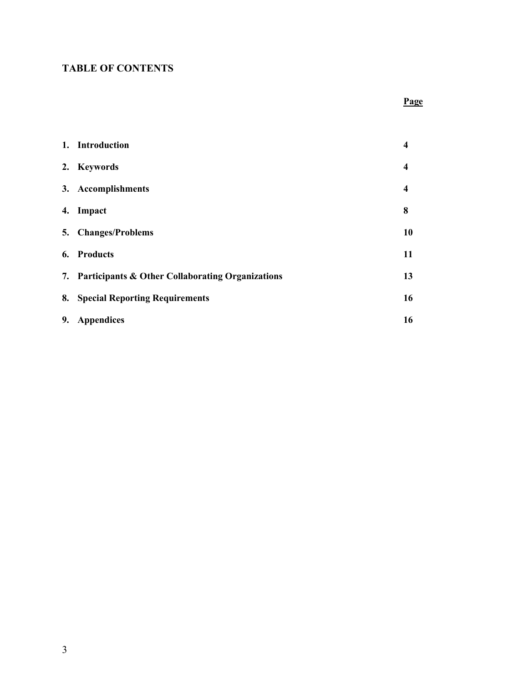# **TABLE OF CONTENTS**

### **Page**

|    | 1. Introduction                                     | 4                       |
|----|-----------------------------------------------------|-------------------------|
|    | 2. Keywords                                         | $\overline{\mathbf{4}}$ |
|    | 3. Accomplishments                                  | $\overline{\mathbf{4}}$ |
|    | 4. Impact                                           | 8                       |
| 5. | <b>Changes/Problems</b>                             | 10                      |
| 6. | <b>Products</b>                                     | 11                      |
|    | 7. Participants & Other Collaborating Organizations | 13                      |
| 8. | <b>Special Reporting Requirements</b>               | 16                      |
| 9. | <b>Appendices</b>                                   | 16                      |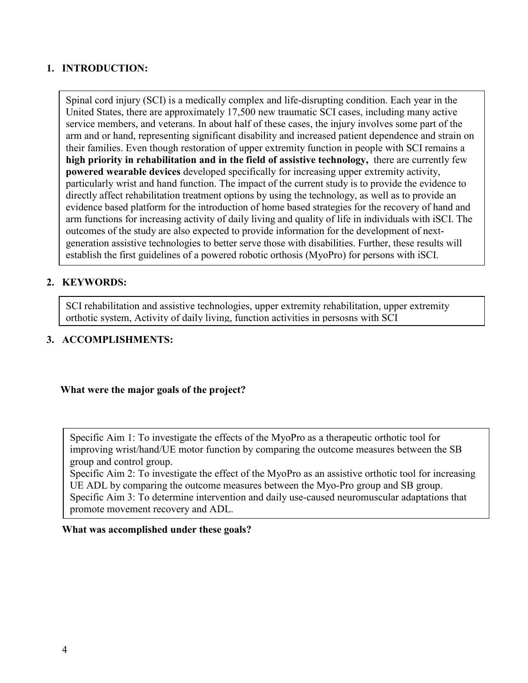### **1. INTRODUCTION:**

 **powered wearable devices** developed specifically for increasing upper extremity activity, Spinal cord injury (SCI) is a medically complex and life-disrupting condition. Each year in the United States, there are approximately 17,500 new traumatic SCI cases, including many active service members, and veterans. In about half of these cases, the injury involves some part of the arm and or hand, representing significant disability and increased patient dependence and strain on their families. Even though restoration of upper extremity function in people with SCI remains a **high priority in rehabilitation and in the field of assistive technology,** there are currently few particularly wrist and hand function. The impact of the current study is to provide the evidence to directly affect rehabilitation treatment options by using the technology, as well as to provide an evidence based platform for the introduction of home based strategies for the recovery of hand and arm functions for increasing activity of daily living and quality of life in individuals with iSCI. The outcomes of the study are also expected to provide information for the development of nextgeneration assistive technologies to better serve those with disabilities. Further, these results will establish the first guidelines of a powered robotic orthosis (MyoPro) for persons with iSCI.

# **2. KEYWORDS:**

SCI rehabilitation and assistive technologies, upper extremity rehabilitation, upper extremity orthotic system, Activity of daily living, function activities in persosns with SCI

### **3. ACCOMPLISHMENTS:**

### **What were the major goals of the project?**

Specific Aim 1: To investigate the effects of the MyoPro as a therapeutic orthotic tool for improving wrist/hand/UE motor function by comparing the outcome measures between the SB group and control group.

Specific Aim 2: To investigate the effect of the MyoPro as an assistive orthotic tool for increasing UE ADL by comparing the outcome measures between the Myo-Pro group and SB group. Specific Aim 3: To determine intervention and daily use-caused neuromuscular adaptations that promote movement recovery and ADL.

#### **What was accomplished under these goals?**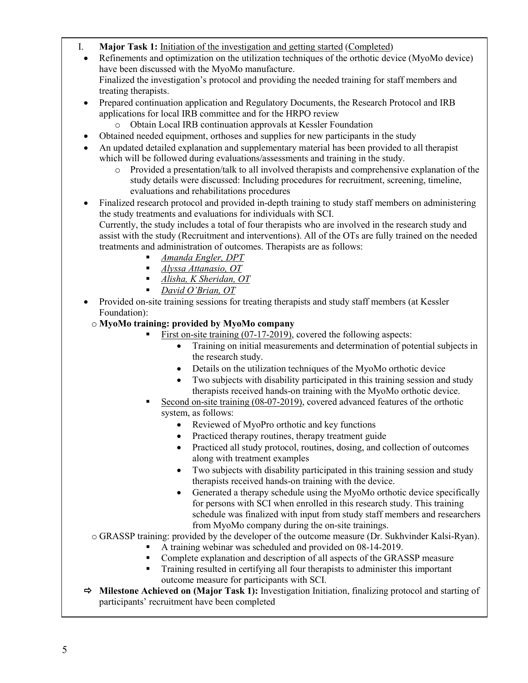- I. **Major Task 1:** Initiation of the investigation and getting started (Completed)
- Refinements and optimization on the utilization techniques of the orthotic device (MyoMo device) have been discussed with the MyoMo manufacture. Finalized the investigation's protocol and providing the needed training for staff members and treating therapists.
- Prepared continuation application and Regulatory Documents, the Research Protocol and IRB applications for local IRB committee and for the HRPO review
	- o Obtain Local IRB continuation approvals at Kessler Foundation
- Obtained needed equipment, orthoses and supplies for new participants in the study
- An updated detailed explanation and supplementary material has been provided to all therapist which will be followed during evaluations/assessments and training in the study.
	- o Provided a presentation/talk to all involved therapists and comprehensive explanation of the study details were discussed: Including procedures for recruitment, screening, timeline, evaluations and rehabilitations procedures
- Finalized research protocol and provided in-depth training to study staff members on administering the study treatments and evaluations for individuals with SCI. Currently, the study includes a total of four therapists who are involved in the research study and assist with the study (Recruitment and interventions). All of the OTs are fully trained on the needed treatments and administration of outcomes. Therapists are as follows:
	- *Amanda Engler, DPT*
	- *Alyssa Attanasio, OT*
	- *Alisha, K Sheridan, OT*
	- *David O'Brian, OT*
- Provided on-site training sessions for treating therapists and study staff members (at Kessler Foundation):
	- o **MyoMo training: provided by MyoMo company**
		- First on-site training (07-17-2019), covered the following aspects:
			- Training on initial measurements and determination of potential subjects in the research study.
			- Details on the utilization techniques of the MyoMo orthotic device
			- Two subjects with disability participated in this training session and study therapists received hands-on training with the MyoMo orthotic device.
		- Second on-site training (08-07-2019), covered advanced features of the orthotic system, as follows:
			- Reviewed of MyoPro orthotic and key functions
			- Practiced therapy routines, therapy treatment guide
			- Practiced all study protocol, routines, dosing, and collection of outcomes along with treatment examples
			- Two subjects with disability participated in this training session and study therapists received hands-on training with the device.
			- Generated a therapy schedule using the MyoMo orthotic device specifically for persons with SCI when enrolled in this research study. This training schedule was finalized with input from study staff members and researchers from MyoMo company during the on-site trainings.
	- o GRASSP training: provided by the developer of the outcome measure (Dr. Sukhvinder Kalsi-Ryan).
		- A training webinar was scheduled and provided on 08-14-2019.
		- Complete explanation and description of all aspects of the GRASSP measure
		- Training resulted in certifying all four therapists to administer this important outcome measure for participants with SCI.
- **Milestone Achieved on (Major Task 1):** Investigation Initiation, finalizing protocol and starting of participants' recruitment have been completed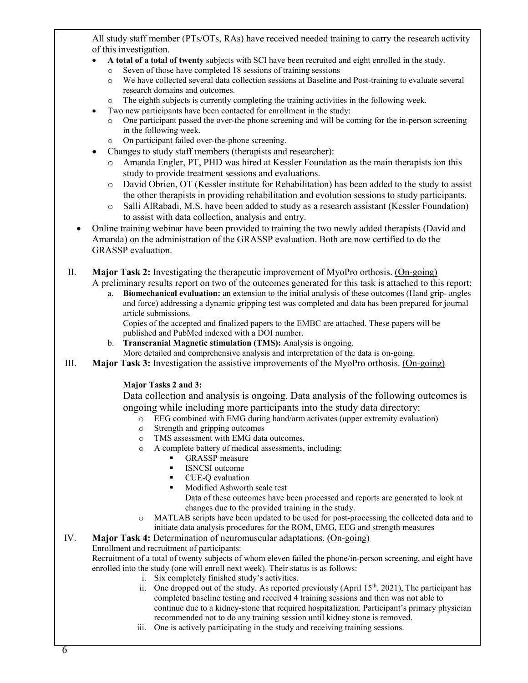All study staff member (PTs/OTs, RAs) have received needed training to carry the research activity of this investigation.

- **A total of a total of twenty** subjects with SCI have been recruited and eight enrolled in the study.
	- o Seven of those have completed 18 sessions of training sessions
	- o We have collected several data collection sessions at Baseline and Post-training to evaluate several research domains and outcomes.
	- o The eighth subjects is currently completing the training activities in the following week.

Two new participants have been contacted for enrollment in the study:

- One participant passed the over-the phone screening and will be coming for the in-person screening in the following week.
- o On participant failed over-the-phone screening.
- Changes to study staff members (therapists and researcher):
	- o Amanda Engler, PT, PHD was hired at Kessler Foundation as the main therapists ion this study to provide treatment sessions and evaluations.
	- o David Obrien, OT (Kessler institute for Rehabilitation) has been added to the study to assist the other therapists in providing rehabilitation and evolution sessions to study participants.
	- o Salli AlRabadi, M.S. have been added to study as a research assistant (Kessler Foundation) to assist with data collection, analysis and entry.
- Online training webinar have been provided to training the two newly added therapists (David and Amanda) on the administration of the GRASSP evaluation. Both are now certified to do the GRASSP evaluation.
- II. **Major Task 2:** Investigating the therapeutic improvement of MyoPro orthosis. (On-going) A preliminary results report on two of the outcomes generated for this task is attached to this report:
	- a. **Biomechanical evaluation:** an extension to the initial analysis of these outcomes (Hand grip- angles and force) addressing a dynamic gripping test was completed and data has been prepared for journal article submissions.

Copies of the accepted and finalized papers to the EMBC are attached. These papers will be published and PubMed indexed with a DOI number.

- b. **Transcranial Magnetic stimulation (TMS):** Analysis is ongoing.
- More detailed and comprehensive analysis and interpretation of the data is on-going.
- III. **Major Task 3:** Investigation the assistive improvements of the MyoPro orthosis. (On-going)

#### **Major Tasks 2 and 3:**

Data collection and analysis is ongoing. Data analysis of the following outcomes is ongoing while including more participants into the study data directory:

- o EEG combined with EMG during hand/arm activates (upper extremity evaluation)
- Strength and gripping outcomes
- o TMS assessment with EMG data outcomes.
- o A complete battery of medical assessments, including:
	- **GRASSP** measure
	- ISNCSI outcome
	- **CUE-Q** evaluation
	- **Modified Ashworth scale test**
	- Data of these outcomes have been processed and reports are generated to look at changes due to the provided training in the study.
- o MATLAB scripts have been updated to be used for post-processing the collected data and to initiate data analysis procedures for the ROM, EMG, EEG and strength measures

#### IV. **Major Task 4:** Determination of neuromuscular adaptations. (On-going) Enrollment and recruitment of participants:

Recruitment of a total of twenty subjects of whom eleven failed the phone/in-person screening, and eight have enrolled into the study (one will enroll next week). Their status is as follows:

- i. Six completely finished study's activities.
- recommended not to do any training session until kidney stone is removed. ii. One dropped out of the study. As reported previously (April  $15<sup>th</sup>$ , 2021), The participant has completed baseline testing and received 4 training sessions and then was not able to continue due to a kidney-stone that required hospitalization. Participant's primary physician
	- iii. One is actively participating in the study and receiving training sessions.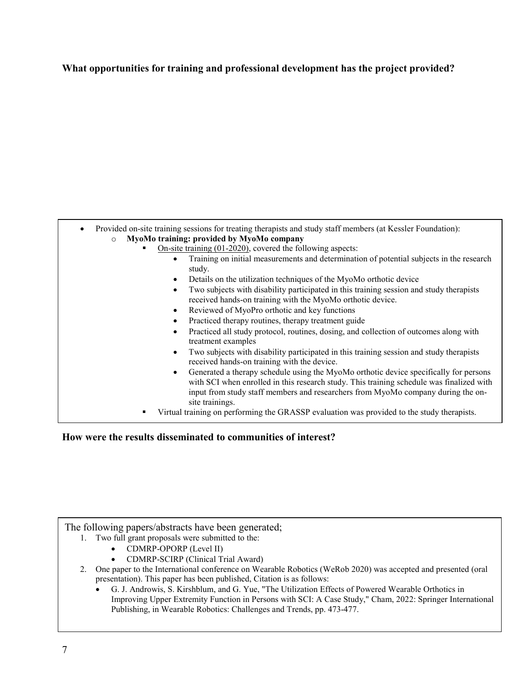### **What opportunities for training and professional development has the project provided?**

| Provided on-site training sessions for treating therapists and study staff members (at Kessler Foundation):                                                                                                                                                           |
|-----------------------------------------------------------------------------------------------------------------------------------------------------------------------------------------------------------------------------------------------------------------------|
| MyoMo training: provided by MyoMo company<br>$\circ$                                                                                                                                                                                                                  |
| On-site training $(01-2020)$ , covered the following aspects:                                                                                                                                                                                                         |
| Training on initial measurements and determination of potential subjects in the research<br>study.                                                                                                                                                                    |
| Details on the utilization techniques of the MyoMo orthotic device                                                                                                                                                                                                    |
| Two subjects with disability participated in this training session and study therapists<br>$\bullet$<br>received hands-on training with the MyoMo orthotic device.                                                                                                    |
| Reviewed of MyoPro orthotic and key functions                                                                                                                                                                                                                         |
| Practiced therapy routines, therapy treatment guide                                                                                                                                                                                                                   |
| Practiced all study protocol, routines, dosing, and collection of outcomes along with<br>treatment examples                                                                                                                                                           |
| Two subjects with disability participated in this training session and study therapists<br>received hands-on training with the device.                                                                                                                                |
| Generated a therapy schedule using the MyoMo orthotic device specifically for persons<br>with SCI when enrolled in this research study. This training schedule was finalized with<br>input from study staff members and researchers from MyoMo company during the on- |
| site trainings.                                                                                                                                                                                                                                                       |
| Virtual training on performing the GRASSP evaluation was provided to the study therapists.                                                                                                                                                                            |

**How were the results disseminated to communities of interest?** 

The following papers/abstracts have been generated;

- 1. Two full grant proposals were submitted to the:
	- CDMRP-OPORP (Level II)
	- CDMRP-SCIRP (Clinical Trial Award)
- 2. One paper to the International conference on Wearable Robotics (WeRob 2020) was accepted and presented (oral presentation). This paper has been published, Citation is as follows:
- G. J. Androwis, S. Kirshblum, and G. Yue, "The Utilization Effects of Powered Wearable Orthotics in *If this is the final report, state "Nothing to Report."*  Publishing, in Wearable Robotics: Challenges and Trends, pp. 473-477.Improving Upper Extremity Function in Persons with SCI: A Case Study," Cham, 2022: Springer International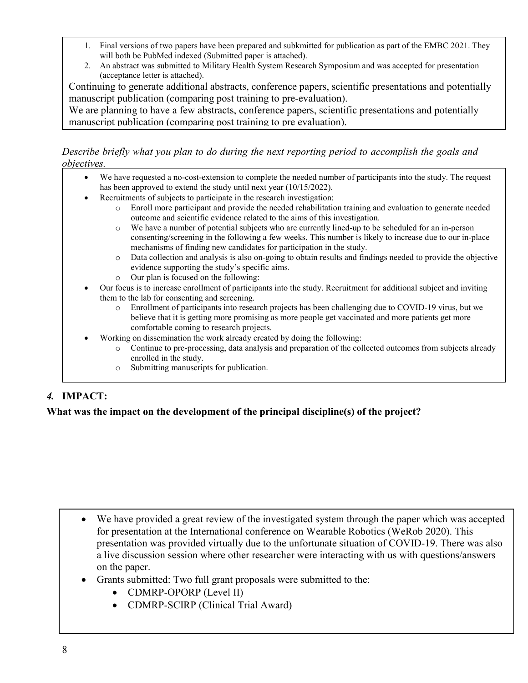- 1. Final versions of two papers have been prepared and subkmitted for publication as part of the EMBC 2021. They will both be PubMed indexed (Submitted paper is attached).
- 2. An abstract was submitted to Military Health System Research Symposium and was accepted for presentation (acceptance letter is attached).

Continuing to generate additional abstracts, conference papers, scientific presentations and potentially manuscript publication (comparing post training to pre-evaluation).

We are planning to have a few abstracts, conference papers, scientific presentations and potentially manuscript publication (comparing post training to pre evaluation).

### *Describe briefly what you plan to do during the next reporting period to accomplish the goals and objectives.*

- We have requested a no-cost-extension to complete the needed number of participants into the study. The request has been approved to extend the study until next year (10/15/2022).
- Recruitments of subjects to participate in the research investigation:
	- o Enroll more participant and provide the needed rehabilitation training and evaluation to generate needed outcome and scientific evidence related to the aims of this investigation.
		- o We have a number of potential subjects who are currently lined-up to be scheduled for an in-person consenting/screening in the following a few weeks. This number is likely to increase due to our in-place mechanisms of finding new candidates for participation in the study.
		- o Data collection and analysis is also on-going to obtain results and findings needed to provide the objective evidence supporting the study's specific aims.
		- o Our plan is focused on the following:
- Our focus is to increase enrollment of participants into the study. Recruitment for additional subject and inviting them to the lab for consenting and screening.
	- o Enrollment of participants into research projects has been challenging due to COVID-19 virus, but we believe that it is getting more promising as more people get vaccinated and more patients get more comfortable coming to research projects.
	- Working on dissemination the work already created by doing the following:
		- o Continue to pre-processing, data analysis and preparation of the collected outcomes from subjects already enrolled in the study.
		- o Submitting manuscripts for publication.

# *4.* **IMPACT:**

# **What was the impact on the development of the principal discipline(s) of the project?**

- We have provided a great review of the investigated system through the paper which was accepted for presentation at the International conference on Wearable Robotics (WeRob 2020). This presentation was provided virtually due to the unfortunate situation of COVID-19. There was also a live discussion session where other researcher were interacting with us with questions/answers on the paper.
- Grants submitted: Two full grant proposals were submitted to the:
	- CDMRP-OPORP (Level II)
	- CDMRP-SCIRP (Clinical Trial Award)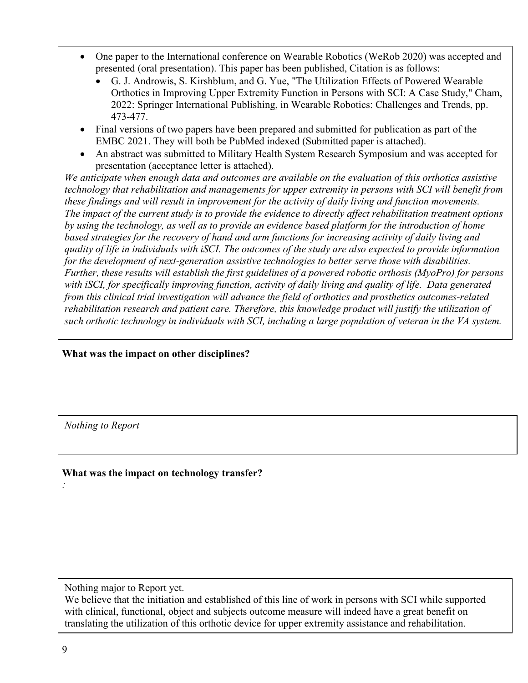- One paper to the International conference on Wearable Robotics (WeRob 2020) was accepted and presented (oral presentation). This paper has been published, Citation is as follows:
	- G. J. Androwis, S. Kirshblum, and G. Yue, "The Utilization Effects of Powered Wearable Orthotics in Improving Upper Extremity Function in Persons with SCI: A Case Study," Cham, 2022: Springer International Publishing, in Wearable Robotics: Challenges and Trends, pp. 473-477.
- Final versions of two papers have been prepared and submitted for publication as part of the EMBC 2021. They will both be PubMed indexed (Submitted paper is attached).
- An abstract was submitted to Military Health System Research Symposium and was accepted for presentation (acceptance letter is attached).

*We anticipate when enough data and outcomes are available on the evaluation of this orthotics assistive technology that rehabilitation and managements for upper extremity in persons with SCI will benefit from these findings and will result in improvement for the activity of daily living and function movements. The impact of the current study is to provide the evidence to directly affect rehabilitation treatment options by using the technology, as well as to provide an evidence based platform for the introduction of home based strategies for the recovery of hand and arm functions for increasing activity of daily living and quality of life in individuals with iSCI. The outcomes of the study are also expected to provide information for the development of next-generation assistive technologies to better serve those with disabilities. Further, these results will establish the first guidelines of a powered robotic orthosis (MyoPro) for persons with iSCI, for specifically improving function, activity of daily living and quality of life. Data generated from this clinical trial investigation will advance the field of orthotics and prosthetics outcomes-related rehabilitation research and patient care. Therefore, this knowledge product will justify the utilization of such orthotic technology in individuals with SCI, including a large population of veteran in the VA system.* 

# **What was the impact on other disciplines?**

*Nothing to Report*

# **What was the impact on technology transfer?**

Nothing major to Report yet.

We believe that the initiation and established of this line of work in persons with SCI while supported with clinical, functional, object and subjects outcome measure will indeed have a great benefit on translating the utilization of this orthotic device for upper extremity assistance and rehabilitation.

*:*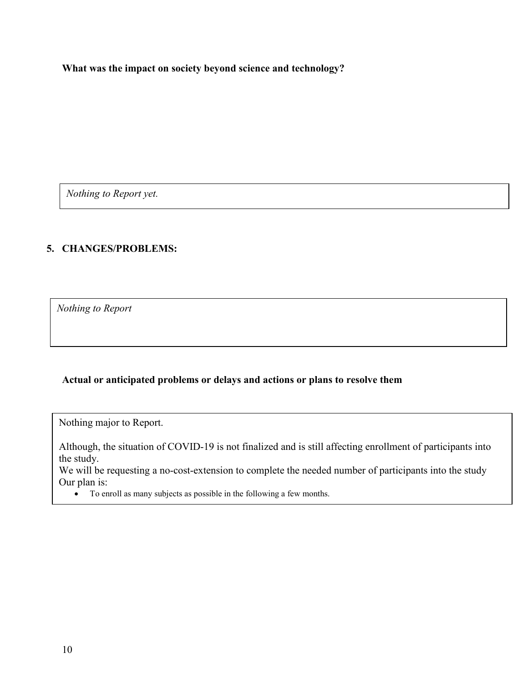**What was the impact on society beyond science and technology?** 

*Nothing to Report yet.*

### **5. CHANGES/PROBLEMS:**

**Changes in approach and reasons for change**  *Nothing to Report*

### **Actual or anticipated problems or delays and actions or plans to resolve them**

Nothing major to Report.

Although, the situation of COVID-19 is not finalized and is still affecting enrollment of participants into the study.

We will be requesting a no-cost-extension to complete the needed number of participants into the study Our plan is:

• To enroll as many subjects as possible in the following a few months.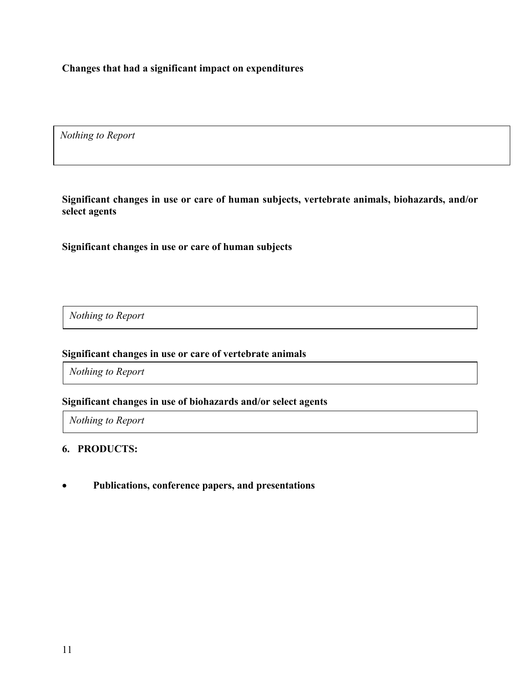**Changes that had a significant impact on expenditures** 

*Nothing to Report*

**Significant changes in use or care of human subjects, vertebrate animals, biohazards, and/or select agents** 

**Significant changes in use or care of human subjects**

*Nothing to Report*

### **Significant changes in use or care of vertebrate animals**

*Nothing to Report*

#### **Significant changes in use of biohazards and/or select agents**

*Nothing to Report*

### **6. PRODUCTS:**

• **Publications, conference papers, and presentations**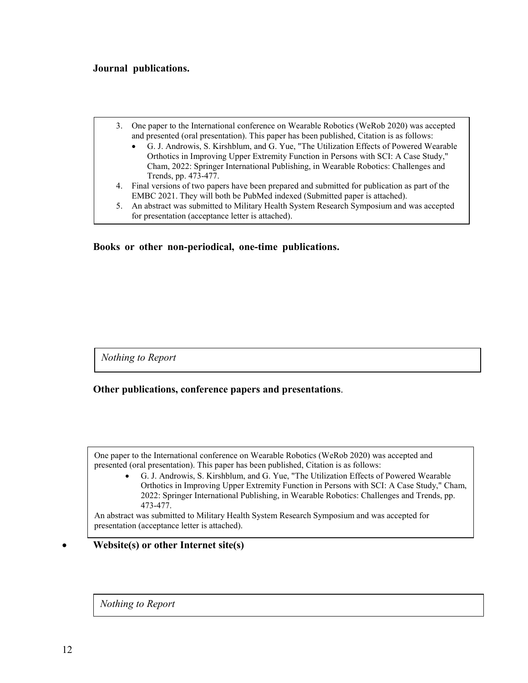#### **Journal publications.**

|    | 3. One paper to the International conference on Wearable Robotics (WeRob 2020) was accepted<br>and presented (oral presentation). This paper has been published, Citation is as follows: |
|----|------------------------------------------------------------------------------------------------------------------------------------------------------------------------------------------|
|    | • G. J. Androwis, S. Kirshblum, and G. Yue, "The Utilization Effects of Powered Wearable                                                                                                 |
|    | Orthotics in Improving Upper Extremity Function in Persons with SCI: A Case Study,"                                                                                                      |
|    | Cham, 2022: Springer International Publishing, in Wearable Robotics: Challenges and                                                                                                      |
|    | Trends, pp. 473-477.                                                                                                                                                                     |
|    | 4. Final versions of two papers have been prepared and submitted for publication as part of the                                                                                          |
|    | EMBC 2021. They will both be PubMed indexed (Submitted paper is attached).                                                                                                               |
| 5. | An abstract was submitted to Military Health System Research Symposium and was accepted                                                                                                  |
|    | for presentation (acceptance letter is attached).                                                                                                                                        |

**Books or other non-periodical, one-time publications.** 

*Nothing to Report*

**Other publications, conference papers and presentations**.

One paper to the International conference on Wearable Robotics (WeRob 2020) was accepted and presented (oral presentation). This paper has been published, Citation is as follows:

• G. J. Androwis, S. Kirshblum, and G. Yue, "The Utilization Effects of Powered Wearable Orthotics in Improving Upper Extremity Function in Persons with SCI: A Case Study," Cham, 2022: Springer International Publishing, in Wearable Robotics: Challenges and Trends, pp. 473-477.

An abstract was submitted to Military Health System Research Symposium and was accepted for presentation (acceptance letter is attached).

#### • **Website(s) or other Internet site(s)**

*Nothing to Report*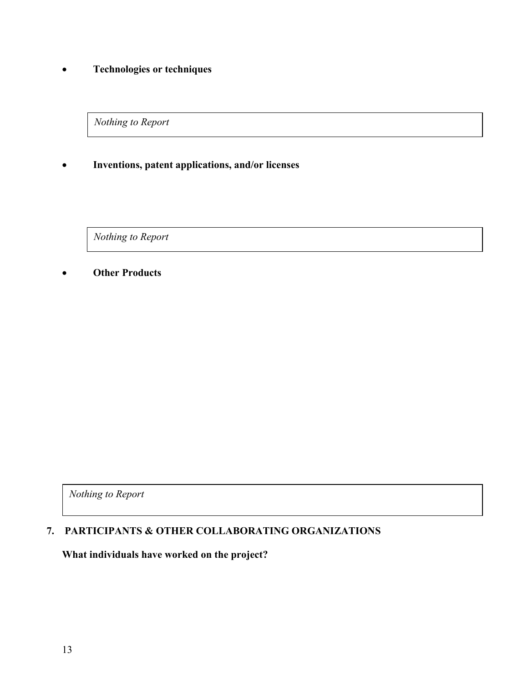# • **Technologies or techniques**

*Nothing to Report*

### • **Inventions, patent applications, and/or licenses**

*Nothing to Report*

### • **Other Products**

*Nothing to Report*

# **7. PARTICIPANTS & OTHER COLLABORATING ORGANIZATIONS**

**What individuals have worked on the project?**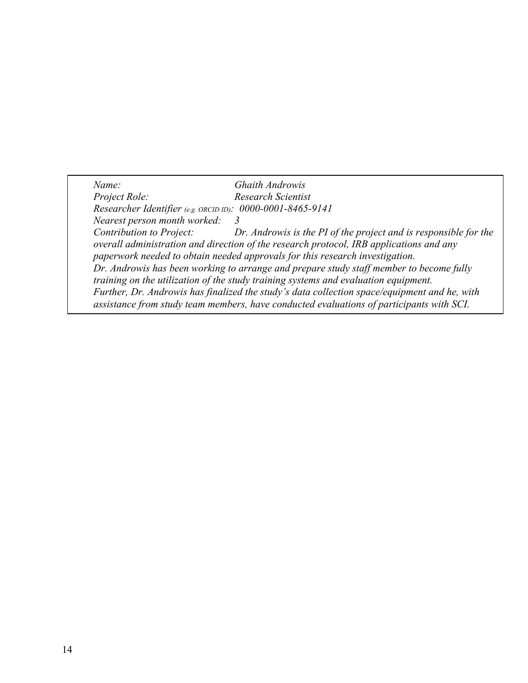*Name: Ghaith Androwis Project Role: Research Scientist Researcher Identifier (e.g. ORCID ID): 0000-0001-8465-9141 Nearest person month worked: 3 Contribution to Project: Dr. Androwis is the PI of the project and is responsible for the overall administration and direction of the research protocol, IRB applications and any paperwork needed to obtain needed approvals for this research investigation. Dr. Androwis has been working to arrange and prepare study staff member to become fully training on the utilization of the study training systems and evaluation equipment. Further, Dr. Androwis has finalized the study's data collection space/equipment and he, with assistance from study team members, have conducted evaluations of participants with SCI.*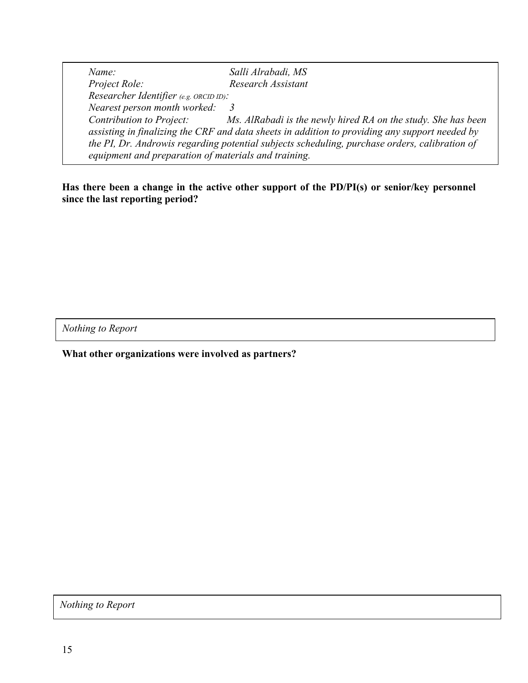*Name: Salli Alrabadi, MS Project Role: Research Assistant Researcher Identifier (e.g. ORCID ID): Nearest person month worked: 3 Contribution to Project: Ms. AlRabadi is the newly hired RA on the study. She has been assisting in finalizing the CRF and data sheets in addition to providing any support needed by the PI, Dr. Androwis regarding potential subjects scheduling, purchase orders, calibration of equipment and preparation of materials and training.*

**Has there been a change in the active other support of the PD/PI(s) or senior/key personnel since the last reporting period?** 

*Nothing to Report*

**What other organizations were involved as partners?** 

*Nothing to Report*